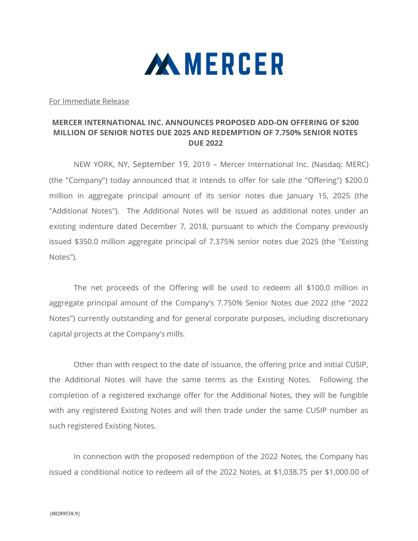

For Immediate Release

## MERCER INTERNATIONAL INC. ANNOUNCES PROPOSED ADD-ON OFFERING OF \$200 MILLION OF SENIOR NOTES DUE 2025 AND REDEMPTION OF 7.750% SENIOR NOTES DUE 2022

 NEW YORK, NY, September 19, 2019 – Mercer International Inc. (Nasdaq: MERC) (the "Company") today announced that it intends to offer for sale (the "Offering") \$200.0 million in aggregate principal amount of its senior notes due January 15, 2025 (the "Additional Notes"). The Additional Notes will be issued as additional notes under an existing indenture dated December 7, 2018, pursuant to which the Company previously issued \$350.0 million aggregate principal of 7.375% senior notes due 2025 (the "Existing Notes").

The net proceeds of the Offering will be used to redeem all \$100.0 million in aggregate principal amount of the Company's 7.750% Senior Notes due 2022 (the "2022 Notes") currently outstanding and for general corporate purposes, including discretionary capital projects at the Company's mills.

Other than with respect to the date of issuance, the offering price and initial CUSIP, the Additional Notes will have the same terms as the Existing Notes. Following the completion of a registered exchange offer for the Additional Notes, they will be fungible with any registered Existing Notes and will then trade under the same CUSIP number as such registered Existing Notes.

In connection with the proposed redemption of the 2022 Notes, the Company has issued a conditional notice to redeem all of the 2022 Notes, at \$1,038.75 per \$1,000.00 of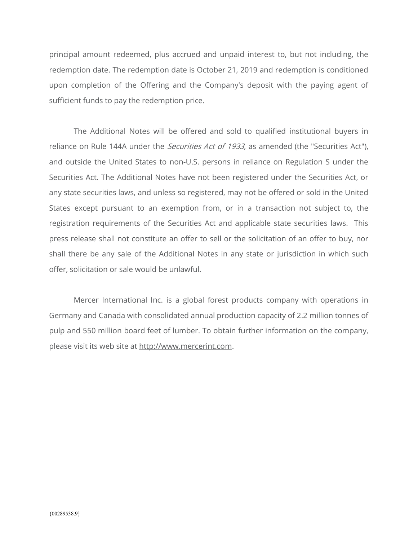principal amount redeemed, plus accrued and unpaid interest to, but not including, the redemption date. The redemption date is October 21, 2019 and redemption is conditioned upon completion of the Offering and the Company's deposit with the paying agent of sufficient funds to pay the redemption price.

The Additional Notes will be offered and sold to qualified institutional buyers in reliance on Rule 144A under the *Securities Act of 1933*, as amended (the "Securities Act"), and outside the United States to non-U.S. persons in reliance on Regulation S under the Securities Act. The Additional Notes have not been registered under the Securities Act, or any state securities laws, and unless so registered, may not be offered or sold in the United States except pursuant to an exemption from, or in a transaction not subject to, the registration requirements of the Securities Act and applicable state securities laws. This press release shall not constitute an offer to sell or the solicitation of an offer to buy, nor shall there be any sale of the Additional Notes in any state or jurisdiction in which such offer, solicitation or sale would be unlawful.

Mercer International Inc. is a global forest products company with operations in Germany and Canada with consolidated annual production capacity of 2.2 million tonnes of pulp and 550 million board feet of lumber. To obtain further information on the company, please visit its web site at http://www.mercerint.com.